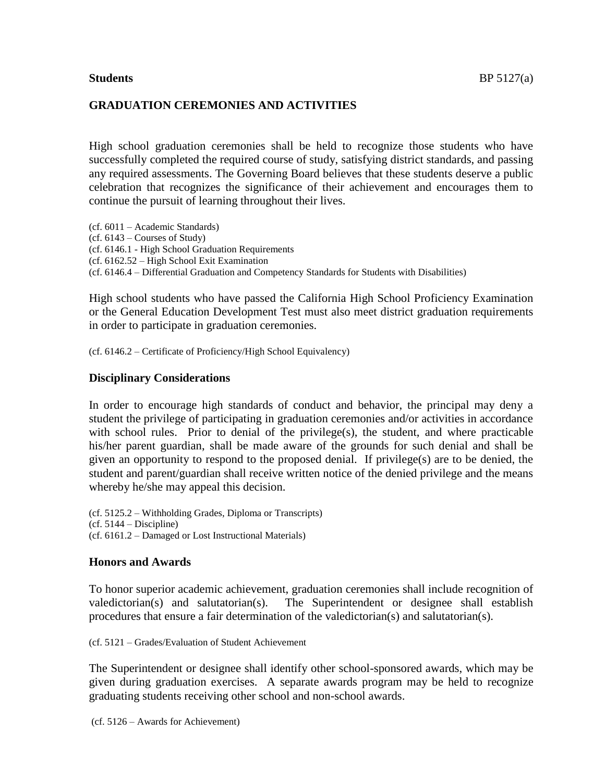# **GRADUATION CEREMONIES AND ACTIVITIES**

High school graduation ceremonies shall be held to recognize those students who have successfully completed the required course of study, satisfying district standards, and passing any required assessments. The Governing Board believes that these students deserve a public celebration that recognizes the significance of their achievement and encourages them to continue the pursuit of learning throughout their lives.

(cf. 6011 – Academic Standards) (cf. 6143 – Courses of Study) (cf. 6146.1 - High School Graduation Requirements (cf. 6162.52 – High School Exit Examination (cf. 6146.4 – Differential Graduation and Competency Standards for Students with Disabilities)

High school students who have passed the California High School Proficiency Examination or the General Education Development Test must also meet district graduation requirements in order to participate in graduation ceremonies.

(cf. 6146.2 – Certificate of Proficiency/High School Equivalency)

#### **Disciplinary Considerations**

In order to encourage high standards of conduct and behavior, the principal may deny a student the privilege of participating in graduation ceremonies and/or activities in accordance with school rules. Prior to denial of the privilege(s), the student, and where practicable his/her parent guardian, shall be made aware of the grounds for such denial and shall be given an opportunity to respond to the proposed denial. If privilege(s) are to be denied, the student and parent/guardian shall receive written notice of the denied privilege and the means whereby he/she may appeal this decision.

(cf. 5125.2 – Withholding Grades, Diploma or Transcripts)  $(cf. 5144 - Discipline)$ (cf. 6161.2 – Damaged or Lost Instructional Materials)

### **Honors and Awards**

To honor superior academic achievement, graduation ceremonies shall include recognition of valedictorian(s) and salutatorian(s). The Superintendent or designee shall establish procedures that ensure a fair determination of the valedictorian(s) and salutatorian(s).

(cf. 5121 – Grades/Evaluation of Student Achievement

The Superintendent or designee shall identify other school-sponsored awards, which may be given during graduation exercises. A separate awards program may be held to recognize graduating students receiving other school and non-school awards.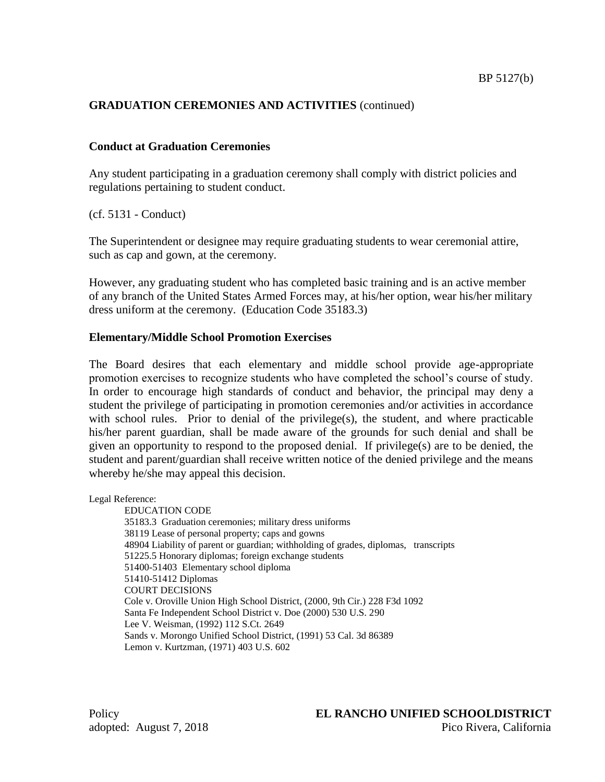# **GRADUATION CEREMONIES AND ACTIVITIES** (continued)

# **Conduct at Graduation Ceremonies**

Any student participating in a graduation ceremony shall comply with district policies and regulations pertaining to student conduct.

(cf. 5131 - Conduct)

The Superintendent or designee may require graduating students to wear ceremonial attire, such as cap and gown, at the ceremony.

However, any graduating student who has completed basic training and is an active member of any branch of the United States Armed Forces may, at his/her option, wear his/her military dress uniform at the ceremony. (Education Code 35183.3)

# **Elementary/Middle School Promotion Exercises**

The Board desires that each elementary and middle school provide age-appropriate promotion exercises to recognize students who have completed the school's course of study. In order to encourage high standards of conduct and behavior, the principal may deny a student the privilege of participating in promotion ceremonies and/or activities in accordance with school rules. Prior to denial of the privilege(s), the student, and where practicable his/her parent guardian, shall be made aware of the grounds for such denial and shall be given an opportunity to respond to the proposed denial. If privilege(s) are to be denied, the student and parent/guardian shall receive written notice of the denied privilege and the means whereby he/she may appeal this decision.

Legal Reference:

EDUCATION CODE 35183.3 Graduation ceremonies; military dress uniforms 38119 Lease of personal property; caps and gowns 48904 Liability of parent or guardian; withholding of grades, diplomas, transcripts 51225.5 Honorary diplomas; foreign exchange students 51400-51403 Elementary school diploma 51410-51412 Diplomas COURT DECISIONS Cole v. Oroville Union High School District, (2000, 9th Cir.) 228 F3d 1092 Santa Fe Independent School District v. Doe (2000) 530 U.S. 290 Lee V. Weisman, (1992) 112 S.Ct. 2649 Sands v. Morongo Unified School District, (1991) 53 Cal. 3d 86389 Lemon v. Kurtzman, (1971) 403 U.S. 602